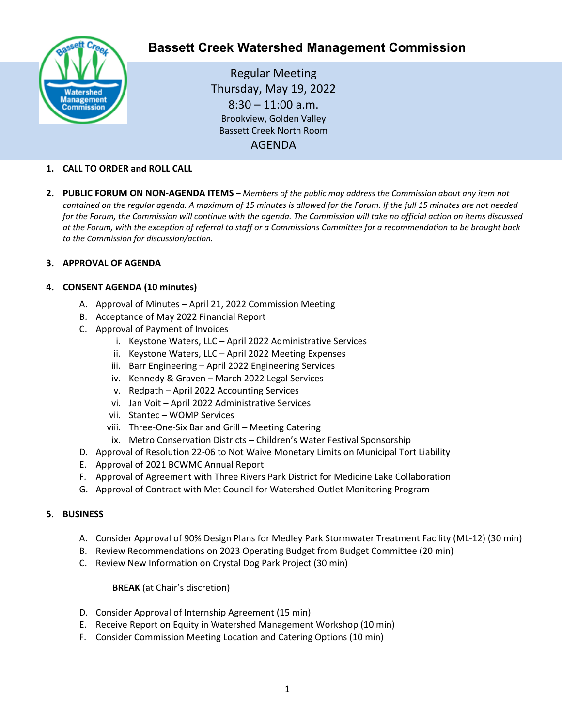

# **Bassett Creek Watershed Management Commission**

Regular Meeting Thursday, May 19, 2022  $8:30 - 11:00$  a.m. Brookview, Golden Valley Bassett Creek North Room AGENDA

# **1. CALL TO ORDER and ROLL CALL**

**2. PUBLIC FORUM ON NON-AGENDA ITEMS –** *Members of the public may address the Commission about any item not contained on the regular agenda. A maximum of 15 minutes is allowed for the Forum. If the full 15 minutes are not needed for the Forum, the Commission will continue with the agenda. The Commission will take no official action on items discussed at the Forum, with the exception of referral to staff or a Commissions Committee for a recommendation to be brought back to the Commission for discussion/action.*

#### **3. APPROVAL OF AGENDA**

# **4. CONSENT AGENDA (10 minutes)**

- A. Approval of Minutes April 21, 2022 Commission Meeting
- B. Acceptance of May 2022 Financial Report
- C. Approval of Payment of Invoices
	- i. Keystone Waters, LLC April 2022 Administrative Services
	- ii. Keystone Waters, LLC April 2022 Meeting Expenses
	- iii. Barr Engineering April 2022 Engineering Services
	- iv. Kennedy & Graven March 2022 Legal Services
	- v. Redpath April 2022 Accounting Services
	- vi. Jan Voit April 2022 Administrative Services
	- vii. Stantec WOMP Services
	- viii. Three-One-Six Bar and Grill Meeting Catering
	- ix. Metro Conservation Districts Children's Water Festival Sponsorship
- D. Approval of Resolution 22-06 to Not Waive Monetary Limits on Municipal Tort Liability
- E. Approval of 2021 BCWMC Annual Report
- F. Approval of Agreement with Three Rivers Park District for Medicine Lake Collaboration
- G. Approval of Contract with Met Council for Watershed Outlet Monitoring Program

#### **5. BUSINESS**

- A. Consider Approval of 90% Design Plans for Medley Park Stormwater Treatment Facility (ML-12) (30 min)
- B. Review Recommendations on 2023 Operating Budget from Budget Committee (20 min)
- C. Review New Information on Crystal Dog Park Project (30 min)

#### **BREAK** (at Chair's discretion)

- D. Consider Approval of Internship Agreement (15 min)
- E. Receive Report on Equity in Watershed Management Workshop (10 min)
- F. Consider Commission Meeting Location and Catering Options (10 min)